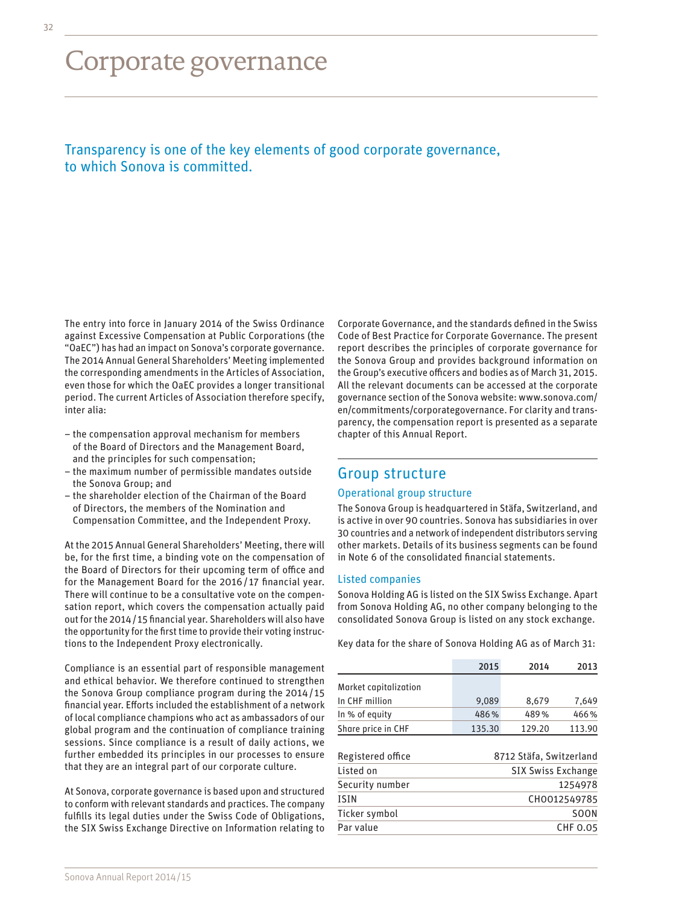# Corporate governance

# Transparency is one of the key elements of good corporate governance, to which Sonova is committed.

The entry into force in January 2014 of the Swiss Ordinance against Excessive Compensation at Public Corporations (the "OaEC") has had an impact on Sonova's corporate governance. The 2014 Annual General Shareholders' Meeting implemented the corresponding amendments in the Articles of Association, even those for which the OaEC provides a longer transitional period. The current Articles of Association therefore specify, inter alia:

- the compensation approval mechanism for members of the Board of Directors and the Management Board, and the principles for such compensation;
- the maximum number of permissible mandates outside the Sonova Group; and
- the shareholder election of the Chairman of the Board of Directors, the members of the Nomination and Compensation Committee, and the Independent Proxy.

At the 2015 Annual General Shareholders' Meeting, there will be, for the first time, a binding vote on the compensation of the Board of Directors for their upcoming term of office and for the Management Board for the 2016/ 17 financial year. There will continue to be a consultative vote on the compensation report, which covers the compensation actually paid out for the 2014/15 financial year. Shareholders will also have the opportunity for the first time to provide their voting instructions to the Independent Proxy electronically.

Compliance is an essential part of responsible management and ethical behavior. We therefore continued to strengthen the Sonova Group compliance program during the 2014/ 15 financial year. Efforts included the establishment of a network of local compliance champions who act as ambassadors of our global program and the continuation of compliance training sessions. Since compliance is a result of daily actions, we further embedded its principles in our processes to ensure that they are an integral part of our corporate culture.

At Sonova, corporate governance is based upon and structured to conform with relevant standards and practices. The company fulfills its legal duties under the Swiss Code of Obligations, the SIX Swiss Exchange Directive on Information relating to

Corporate Governance, and the standards defined in the Swiss Code of Best Practice for Corporate Governance. The present report describes the principles of corporate governance for the Sonova Group and provides background information on the Group's executive officers and bodies as of March 31, 2015. All the relevant documents can be accessed at the corporate governance section of the Sonova website: [www.sonova.com/](http://www.sonova.com/en/commitments/corporategovernance) [en/commitments/corporategovernance.](http://www.sonova.com/en/commitments/corporategovernance) For clarity and transparency, the compensation report is presented as a separate chapter of this Annual Report.

### Group structure

#### Operational group structure

The Sonova Group is headquartered in Stäfa, Switzerland, and is active in over 90 countries. Sonova has subsidiaries in over 30 countries and a network of independent distributors serving other markets. Details of its business segments can be found in Note 6 of the consolidated financial statements.

#### Listed companies

Sonova Holding AG is listed on the SIX Swiss Exchange. Apart from Sonova Holding AG, no other company belonging to the consolidated Sonova Group is listed on any stock exchange.

Key data for the share of Sonova Holding AG as of March 31:

|                                | 2015                                                 | 2014   | 2013   |
|--------------------------------|------------------------------------------------------|--------|--------|
| Market capitalization          |                                                      |        |        |
| In CHF million                 | 9.089                                                | 8,679  | 7.649  |
| In % of equity                 | 486%                                                 | 489%   | 466%   |
| Share price in CHF             | 135.30                                               | 129.20 | 113.90 |
| Registered office<br>Listed on | 8712 Stäfa, Switzerland<br><b>SIX Swiss Exchange</b> |        |        |
|                                |                                                      |        |        |
| Security number                | 1254978                                              |        |        |
| <b>ISIN</b>                    | CH0012549785                                         |        |        |
| Ticker symbol                  | <b>SOON</b>                                          |        |        |
| Par value                      | <b>CHF 0.05</b>                                      |        |        |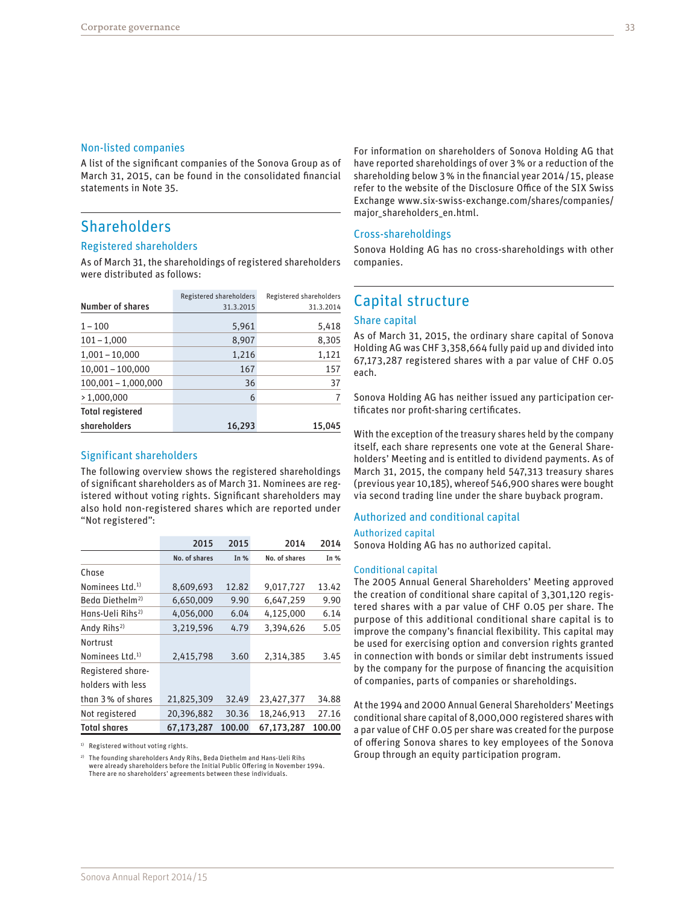#### Non-listed companies

A list of the significant companies of the Sonova Group as of March 31, 2015, can be found in the consolidated financial statements in Note 35.

# **Shareholders**

#### Registered shareholders

As of March 31, the shareholdings of registered shareholders were distributed as follows:

|                         | Registered shareholders | Registered shareholders |
|-------------------------|-------------------------|-------------------------|
| <b>Number of shares</b> | 31.3.2015               | 31.3.2014               |
| $1 - 100$               | 5,961                   | 5,418                   |
| $101 - 1,000$           | 8,907                   | 8,305                   |
| $1,001 - 10,000$        | 1,216                   | 1,121                   |
| $10,001 - 100,000$      | 167                     | 157                     |
| $100,001 - 1,000,000$   | 36                      | 37                      |
| >1.000.000              | 6                       |                         |
| <b>Total registered</b> |                         |                         |
| shareholders            | 16,293                  | 15,045                  |

### Significant shareholders

The following overview shows the registered shareholdings of significant shareholders as of March 31. Nominees are registered without voting rights. Significant shareholders may also hold non-registered shares which are reported under "Not registered":

|                              | 2015          | 2015   | 2014          | 2014   |
|------------------------------|---------------|--------|---------------|--------|
|                              | No. of shares | In $%$ | No. of shares | In $%$ |
| Chase                        |               |        |               |        |
| Nominees Ltd. <sup>1)</sup>  | 8.609.693     | 12.82  | 9.017.727     | 13.42  |
| Beda Diethelm <sup>2)</sup>  | 6,650,009     | 9.90   | 6,647,259     | 9.90   |
| Hans-Ueli Rihs <sup>2)</sup> | 4,056,000     | 6.04   | 4,125,000     | 6.14   |
| Andy Rihs <sup>2)</sup>      | 3,219,596     | 4.79   | 3.394.626     | 5.05   |
| Nortrust                     |               |        |               |        |
| Nominees Ltd. <sup>1)</sup>  | 2,415,798     | 3.60   | 2,314,385     | 3.45   |
| Registered share-            |               |        |               |        |
| holders with less            |               |        |               |        |
| than 3% of shares            | 21,825,309    | 32.49  | 23,427,377    | 34.88  |
| Not registered               | 20.396.882    | 30.36  | 18.246.913    | 27.16  |
| <b>Total shares</b>          | 67.173.287    | 100.00 | 67.173.287    | 100.00 |

<sup>1)</sup> Registered without voting rights.

2) The founding shareholders Andy Rihs, Beda Diethelm and Hans-Ueli Rihs were already shareholders before the Initial Public Offering in November 1994. There are no shareholders' agreements between these individuals.

For information on shareholders of Sonova Holding AG that have reported shareholdings of over 3% or a reduction of the shareholding below 3% in the financial year 2014/ 15, please refer to the website of the Disclosure Office of the SIX Swiss Exchange [www.six-swiss-exchange.com/shares/companies/](http://www.six-swiss-exchange.com/shares/companies/major_shareholders_en.html) [major\\_shareholders\\_en.html.](http://www.six-swiss-exchange.com/shares/companies/major_shareholders_en.html)

#### Cross-shareholdings

Sonova Holding AG has no cross-shareholdings with other companies.

# Capital structure

#### Share capital

As of March 31, 2015, the ordinary share capital of Sonova Holding AG was CHF 3,358,664 fully paid up and divided into 67,173,287 registered shares with a par value of CHF 0.05 each.

Sonova Holding AG has neither issued any participation certificates nor profit-sharing certificates.

With the exception of the treasury shares held by the company itself, each share represents one vote at the General Shareholders' Meeting and is entitled to dividend payments. As of March 31, 2015, the company held 547,313 treasury shares (previous year 10,185), whereof 546,900 shares were bought via second trading line under the share buyback program.

#### Authorized and conditional capital

#### Authorized capital

Sonova Holding AG has no authorized capital.

#### Conditional capital

The 2005 Annual General Shareholders' Meeting approved the creation of conditional share capital of 3,301,120 registered shares with a par value of CHF 0.05 per share. The purpose of this additional conditional share capital is to improve the company's financial flexibility. This capital may be used for exercising option and conversion rights granted in connection with bonds or similar debt instruments issued by the company for the purpose of financing the acquisition of companies, parts of companies or shareholdings.

At the 1994 and 2000 Annual General Shareholders' Meetings conditional share capital of 8,000,000 registered shares with a par value of CHF 0.05 per share was created for the purpose of offering Sonova shares to key employees of the Sonova Group through an equity participation program.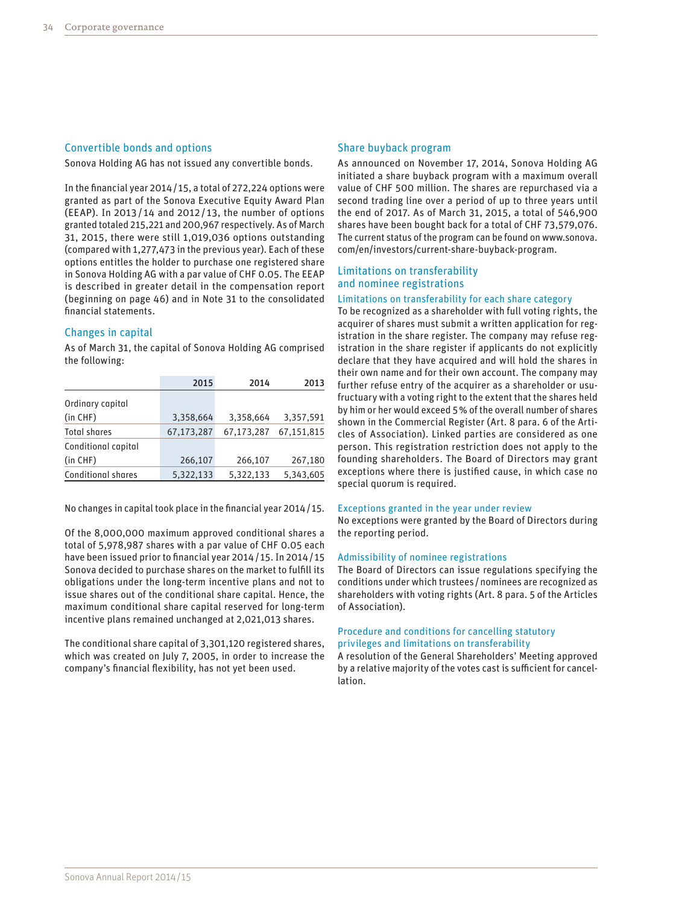#### Convertible bonds and options

Sonova Holding AG has not issued any convertible bonds.

In the financial year 2014/ 15, a total of 272,224 options were granted as part of the Sonova Executive Equity Award Plan (EEAP). In 2013 / 14 and 2012 / 13, the number of options granted totaled 215,221 and 200,967 respectively. As of March 31, 2015, there were still 1,019,036 options outstanding (compared with 1,277,473 in the previous year). Each of these options entitles the holder to purchase one registered share in Sonova Holding AG with a par value of CHF 0.05. The EEAP is described in greater detail in the compensation report (beginning on page 46) and in Note 31 to the consolidated financial statements.

#### Changes in capital

As of March 31, the capital of Sonova Holding AG comprised the following:

|                           | 2015       | 2014       | 2013       |
|---------------------------|------------|------------|------------|
| Ordinary capital          |            |            |            |
| $(in$ $CHF)$              | 3,358,664  | 3,358,664  | 3,357,591  |
| <b>Total shares</b>       | 67,173,287 | 67,173,287 | 67,151,815 |
| Conditional capital       |            |            |            |
| $(in$ $CHF)$              | 266,107    | 266,107    | 267,180    |
| <b>Conditional shares</b> | 5,322,133  | 5,322,133  | 5,343,605  |
|                           |            |            |            |

No changes in capital took place in the financial year 2014/15.

Of the 8,000,000 maximum approved conditional shares a total of 5,978,987 shares with a par value of CHF 0.05 each have been issued prior to financial year 2014/ 15. In 2014/ 15 Sonova decided to purchase shares on the market to fulfill its obligations under the long-term incentive plans and not to issue shares out of the conditional share capital. Hence, the maximum conditional share capital reserved for long-term incentive plans remained unchanged at 2,021,013 shares.

The conditional share capital of 3,301,120 registered shares, which was created on July 7, 2005, in order to increase the company's financial flexibility, has not yet been used.

#### Share buyback program

As announced on November 17, 2014, Sonova Holding AG initiated a share buyback program with a maximum overall value of CHF 500 million. The shares are repurchased via a second trading line over a period of up to three years until the end of 2017. As of March 31, 2015, a total of 546,900 shares have been bought back for a total of CHF 73,579,076. The current status of the program can be found on [www.sonova.](http://www.sonova.com/en/investors/current-share-buyback-program) [com/en/investors/current-share-buyback-program](http://www.sonova.com/en/investors/current-share-buyback-program).

#### Limitations on transferability and nominee registrations

#### Limitations on transferability for each share category

To be recognized as a shareholder with full voting rights, the acquirer of shares must submit a written application for registration in the share register. The company may refuse registration in the share register if applicants do not explicitly declare that they have acquired and will hold the shares in their own name and for their own account. The company may further refuse entry of the acquirer as a shareholder or usufructuary with a voting right to the extent that the shares held by him or her would exceed 5% of the overall number of shares shown in the Commercial Register (Art. 8 para. 6 of the Articles of Association). Linked parties are considered as one person. This registration restriction does not apply to the founding shareholders. The Board of Directors may grant exceptions where there is justified cause, in which case no special quorum is required.

#### Exceptions granted in the year under review

No exceptions were granted by the Board of Directors during the reporting period.

#### Admissibility of nominee registrations

The Board of Directors can issue regulations specifying the conditions under which trustees /nominees are recognized as shareholders with voting rights (Art. 8 para. 5 of the Articles of Association).

#### Procedure and conditions for cancelling statutory privileges and limitations on transferability

A resolution of the General Shareholders' Meeting approved by a relative majority of the votes cast is sufficient for cancellation.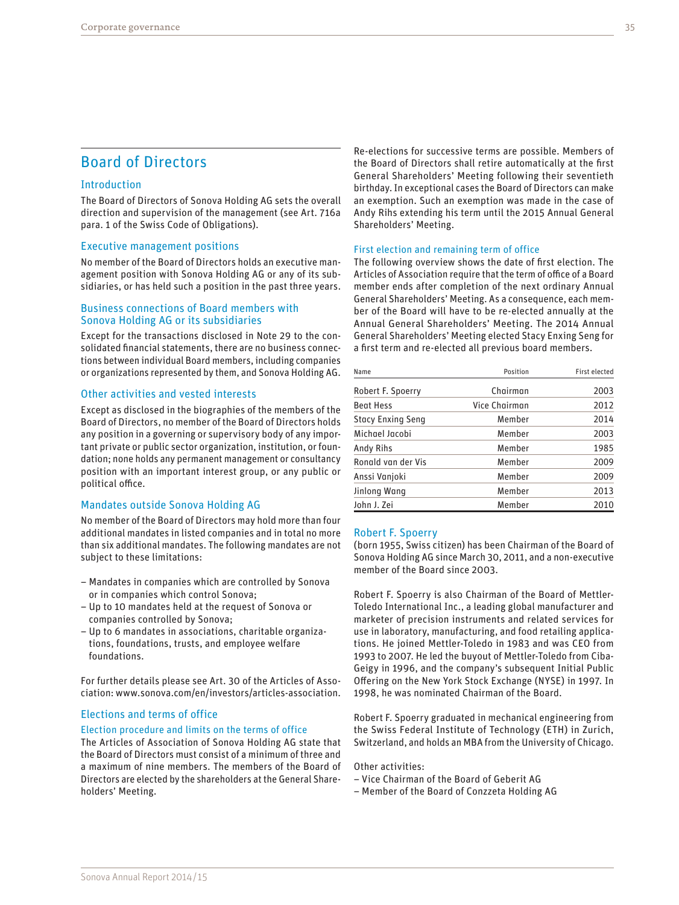# Board of Directors

#### Introduction

The Board of Directors of Sonova Holding AG sets the overall direction and supervision of the management (see Art. 716a para. 1 of the Swiss Code of Obligations).

#### Executive management positions

No member of the Board of Directors holds an executive management position with Sonova Holding AG or any of its subsidiaries, or has held such a position in the past three years.

#### Business connections of Board members with Sonova Holding AG or its subsidiaries

Except for the transactions disclosed in Note 29 to the consolidated financial statements, there are no business connections between individual Board members, including companies or organizations represented by them, and Sonova Holding AG.

#### Other activities and vested interests

Except as disclosed in the biographies of the members of the Board of Directors, no member of the Board of Directors holds any position in a governing or supervisory body of any important private or public sector organization, institution, or foundation; none holds any permanent management or consultancy position with an important interest group, or any public or political office.

#### Mandates outside Sonova Holding AG

No member of the Board of Directors may hold more than four additional mandates in listed companies and in total no more than six additional mandates. The following mandates are not subject to these limitations:

- Mandates in companies which are controlled by Sonova or in companies which control Sonova;
- Up to 10 mandates held at the request of Sonova or companies controlled by Sonova;
- Up to 6 mandates in associations, charitable organizations, foundations, trusts, and employee welfare foundations.

For further details please see Art. 30 of the Articles of Association: [www.sonova.com/en/investors/articles-association.](http://www.sonova.com/en/investors/articles-association)

### Elections and terms of office

#### Election procedure and limits on the terms of office

The Articles of Association of Sonova Holding AG state that the Board of Directors must consist of a minimum of three and a maximum of nine members. The members of the Board of Directors are elected by the shareholders at the General Shareholders' Meeting.

Re-elections for successive terms are possible. Members of the Board of Directors shall retire automatically at the first General Shareholders' Meeting following their seventieth birthday. In exceptional cases the Board of Directors can make an exemption. Such an exemption was made in the case of Andy Rihs extending his term until the 2015 Annual General Shareholders' Meeting.

#### First election and remaining term of office

The following overview shows the date of first election. The Articles of Association require that the term of office of a Board member ends after completion of the next ordinary Annual General Shareholders' Meeting. As a consequence, each member of the Board will have to be re-elected annually at the Annual General Shareholders' Meeting. The 2014 Annual General Shareholders' Meeting elected Stacy Enxing Seng for a first term and re-elected all previous board members.

| Name                     | Position      | First elected |
|--------------------------|---------------|---------------|
| Robert F. Spoerry        | Chairman      | 2003          |
| <b>Beat Hess</b>         | Vice Chairman | 2012          |
| <b>Stacy Enxing Seng</b> | Member        | 2014          |
| Michael Jacobi           | Member        | 2003          |
| Andy Rihs                | Member        | 1985          |
| Ronald van der Vis       | Memher        | 2009          |
| Anssi Vanjoki            | Member        | 2009          |
| Jinlong Wang             | Member        | 2013          |
| John J. Zei              | Member        | 2010          |

#### Robert F. Spoerry

(born 1955, Swiss citizen) has been Chairman of the Board of Sonova Holding AG since March 30, 2011, and a non-executive member of the Board since 2003.

Robert F. Spoerry is also Chairman of the Board of Mettler-Toledo International Inc., a leading global manufacturer and marketer of precision instruments and related services for use in laboratory, manufacturing, and food retailing applications. He joined Mettler-Toledo in 1983 and was CEO from 1993 to 2007. He led the buyout of Mettler-Toledo from Ciba-Geigy in 1996, and the company's subsequent Initial Public Offering on the New York Stock Exchange (NYSE) in 1997. In 1998, he was nominated Chairman of the Board.

Robert F. Spoerry graduated in mechanical engineering from the Swiss Federal Institute of Technology (ETH) in Zurich, Switzerland, and holds an MBA from the University of Chicago.

Other activities:

- Vice Chairman of the Board of Geberit AG
- Member of the Board of Conzzeta Holding AG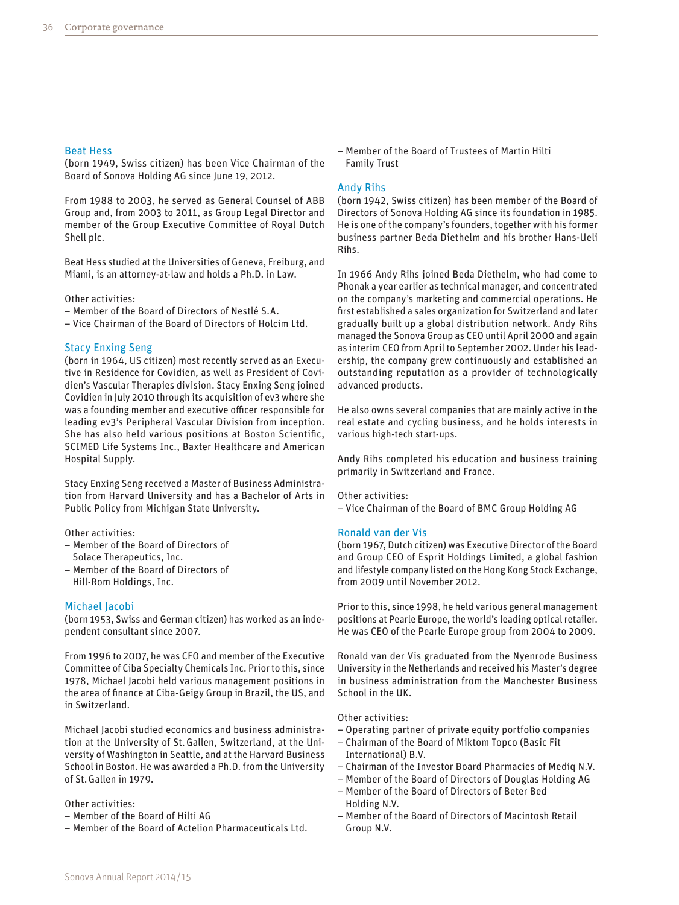#### Beat Hess

(born 1949, Swiss citizen) has been Vice Chairman of the Board of Sonova Holding AG since June 19, 2012.

From 1988 to 2003, he served as General Counsel of ABB Group and, from 2003 to 2011, as Group Legal Director and member of the Group Executive Committee of Royal Dutch Shell plc.

Beat Hess studied at the Universities of Geneva, Freiburg, and Miami, is an attorney-at-law and holds a Ph.D. in Law.

Other activities:

– Member of the Board of Directors of Nestlé S.A.

– Vice Chairman of the Board of Directors of Holcim Ltd.

#### Stacy Enxing Seng

(born in 1964, US citizen) most recently served as an Executive in Residence for Covidien, as well as President of Covidien's Vascular Therapies division. Stacy Enxing Seng joined Covidien in July 2010 through its acquisition of ev3 where she was a founding member and executive officer responsible for leading ev3's Peripheral Vascular Division from inception. She has also held various positions at Boston Scientific, SCIMED Life Systems Inc., Baxter Healthcare and American Hospital Supply.

Stacy Enxing Seng received a Master of Business Administration from Harvard University and has a Bachelor of Arts in Public Policy from Michigan State University.

Other activities:

- Member of the Board of Directors of Solace Therapeutics, Inc.
- Member of the Board of Directors of Hill-Rom Holdings, Inc.

#### Michael Jacobi

(born 1953, Swiss and German citizen) has worked as an independent consultant since 2007.

From 1996 to 2007, he was CFO and member of the Executive Committee of Ciba Specialty Chemicals Inc. Prior to this, since 1978, Michael Jacobi held various management positions in the area of finance at Ciba-Geigy Group in Brazil, the US, and in Switzerland.

Michael Jacobi studied economics and business administration at the University of St.Gallen, Switzerland, at the University of Washington in Seattle, and at the Harvard Business School in Boston. He was awarded a Ph.D. from the University of St.Gallen in 1979.

#### Other activities:

- Member of the Board of Hilti AG
- Member of the Board of Actelion Pharmaceuticals Ltd.

– Member of the Board of Trustees of Martin Hilti Family Trust

#### Andy Rihs

(born 1942, Swiss citizen) has been member of the Board of Directors of Sonova Holding AG since its foundation in 1985. He is one of the company's founders, together with his former business partner Beda Diethelm and his brother Hans-Ueli Rihs.

In 1966 Andy Rihs joined Beda Diethelm, who had come to Phonak a year earlier as technical manager, and concentrated on the company's marketing and commercial operations. He first established a sales organization for Switzerland and later gradually built up a global distribution network. Andy Rihs managed the Sonova Group as CEO until April 2000 and again as interim CEO from April to September 2002. Under his leadership, the company grew continuously and established an outstanding reputation as a provider of technologically advanced products.

He also owns several companies that are mainly active in the real estate and cycling business, and he holds interests in various high-tech start-ups.

Andy Rihs completed his education and business training primarily in Switzerland and France.

Other activities:

– Vice Chairman of the Board of BMC Group Holding AG

#### Ronald van der Vis

(born 1967, Dutch citizen) was Executive Director of the Board and Group CEO of Esprit Holdings Limited, a global fashion and lifestyle company listed on the Hong Kong Stock Exchange, from 2009 until November 2012.

Prior to this, since 1998, he held various general management positions at Pearle Europe, the world's leading optical retailer. He was CEO of the Pearle Europe group from 2004 to 2009.

Ronald van der Vis graduated from the Nyenrode Business University in the Netherlands and received his Master's degree in business administration from the Manchester Business School in the UK.

#### Other activities:

- Operating partner of private equity portfolio companies
- Chairman of the Board of Miktom Topco (Basic Fit International) B.V.
- Chairman of the Investor Board Pharmacies of Mediq N.V.
- Member of the Board of Directors of Douglas Holding AG
- Member of the Board of Directors of Beter Bed Holding N.V.
- Member of the Board of Directors of Macintosh Retail Group N.V.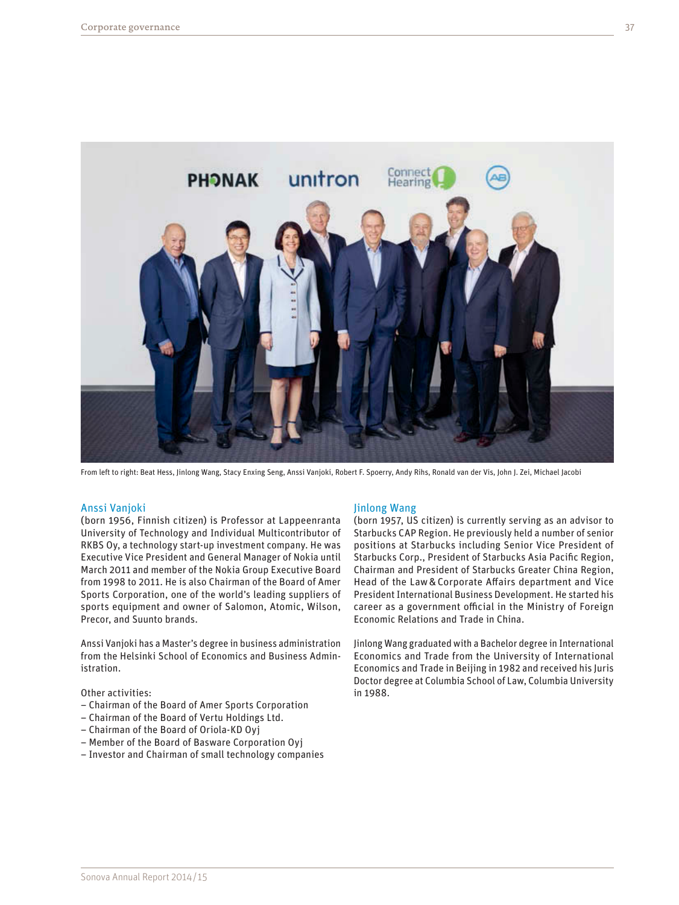

From left to right: Beat Hess, Jinlong Wang, Stacy Enxing Seng, Anssi Vanjoki, Robert F. Spoerry, Andy Rihs, Ronald van der Vis, John J. Zei, Michael Jacobi

#### Anssi Vanjoki

(born 1956, Finnish citizen) is Professor at Lappeenranta University of Technology and Individual Multicontributor of RKBS Oy, a technology start-up investment company. He was Executive Vice President and General Manager of Nokia until March 2011 and member of the Nokia Group Executive Board from 1998 to 2011. He is also Chairman of the Board of Amer Sports Corporation, one of the world's leading suppliers of sports equipment and owner of Salomon, Atomic, Wilson, Precor, and Suunto brands.

Anssi Vanjoki has a Master's degree in business administration from the Helsinki School of Economics and Business Administration.

Other activities:

- Chairman of the Board of Amer Sports Corporation
- Chairman of the Board of Vertu Holdings Ltd.
- Chairman of the Board of Oriola-KD Oyj
- Member of the Board of Basware Corporation Oyj
- Investor and Chairman of small technology companies

#### Jinlong Wang

(born 1957, US citizen) is currently serving as an advisor to Starbucks CAP Region. He previously held a number of senior positions at Starbucks including Senior Vice President of Starbucks Corp., President of Starbucks Asia Pacific Region, Chairman and President of Starbucks Greater China Region, Head of the Law&Corporate Affairs department and Vice President International Business Development. He started his career as a government official in the Ministry of Foreign Economic Relations and Trade in China.

Jinlong Wang graduated with a Bachelor degree in International Economics and Trade from the University of International Economics and Trade in Beijing in 1982 and received his Juris Doctor degree at Columbia School of Law, Columbia University in 1988.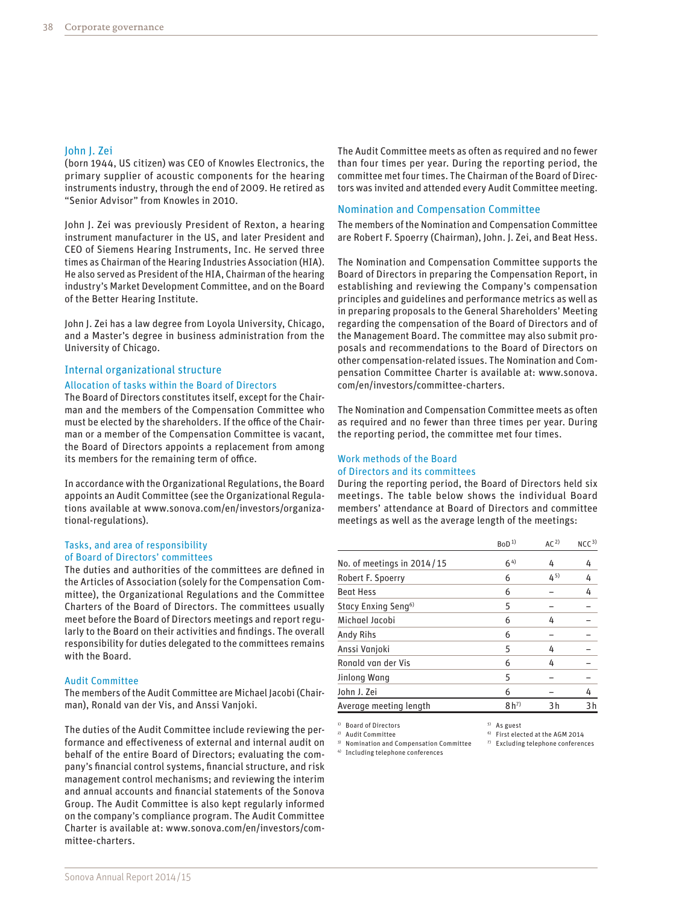#### John J. Zei

(born 1944, US citizen) was CEO of Knowles Electronics, the primary supplier of acoustic components for the hearing instruments industry, through the end of 2009. He retired as "Senior Advisor" from Knowles in 2010.

John J. Zei was previously President of Rexton, a hearing instrument manufacturer in the US, and later President and CEO of Siemens Hearing Instruments, Inc. He served three times as Chairman of the Hearing Industries Association (HIA). He also served as President of the HIA, Chairman of the hearing industry's Market Development Committee, and on the Board of the Better Hearing Institute.

John J. Zei has a law degree from Loyola University, Chicago, and a Master's degree in business administration from the University of Chicago.

#### Internal organizational structure

#### Allocation of tasks within the Board of Directors

The Board of Directors constitutes itself, except for the Chairman and the members of the Compensation Committee who must be elected by the shareholders. If the office of the Chairman or a member of the Compensation Committee is vacant, the Board of Directors appoints a replacement from among its members for the remaining term of office.

In accordance with the Organizational Regulations, the Board appoints an Audit Committee (see the Organizational Regulations available at [www.sonova.com/en/investors/organiza](http://www.sonova.com/en/investors/organizational-regulations)[tional-regulations\)](http://www.sonova.com/en/investors/organizational-regulations).

#### Tasks, and area of responsibility of Board of Directors' committees

The duties and authorities of the committees are defined in the Articles of Association (solely for the Compensation Committee), the Organizational Regulations and the Committee Charters of the Board of Directors. The committees usually meet before the Board of Directors meetings and report regularly to the Board on their activities and findings. The overall responsibility for duties delegated to the committees remains with the Board.

#### Audit Committee

Sonova Annual Report 2014/15

The members of the Audit Committee are Michael Jacobi (Chairman), Ronald van der Vis, and Anssi Vanjoki.

The duties of the Audit Committee include reviewing the performance and effectiveness of external and internal audit on behalf of the entire Board of Directors; evaluating the company's financial control systems, financial structure, and risk management control mechanisms; and reviewing the interim and annual accounts and financial statements of the Sonova Group. The Audit Committee is also kept regularly informed on the company's compliance program. The Audit Committee Charter is available at: [www.sonova.com/en/investors/com](http://www.sonova.com/en/investors/committee-charters)[mittee-charters](http://www.sonova.com/en/investors/committee-charters).

The Audit Committee meets as often as required and no fewer than four times per year. During the reporting period, the committee met four times. The Chairman of the Board of Directors was invited and attended every Audit Committee meeting.

#### Nomination and Compensation Committee

The members of the Nomination and Compensation Committee are Robert F. Spoerry (Chairman), John. J. Zei, and Beat Hess.

The Nomination and Compensation Committee supports the Board of Directors in preparing the Compensation Report, in establishing and reviewing the Company's compensation principles and guidelines and performance metrics as well as in preparing proposals to the General Shareholders' Meeting regarding the compensation of the Board of Directors and of the Management Board. The committee may also submit proposals and recommendations to the Board of Directors on other compensation-related issues. The Nomination and Compensation Committee Charter is available at: [www.sonova.](http://www.sonova.com/en/investors/committee-charters) [com/en/investors/committee-charters.](http://www.sonova.com/en/investors/committee-charters)

The Nomination and Compensation Committee meets as often as required and no fewer than three times per year. During the reporting period, the committee met four times.

#### Work methods of the Board of Directors and its committees

During the reporting period, the Board of Directors held six meetings. The table below shows the individual Board members' attendance at Board of Directors and committee meetings as well as the average length of the meetings:

|                                 | $B_0D1$          | AC <sup>2</sup> | NCC <sup>3</sup> |
|---------------------------------|------------------|-----------------|------------------|
| No. of meetings in $2014/15$    | $6^{4}$          | 4               | 4                |
| Robert F. Spoerry               | 6                | (45)            | 4                |
| <b>Beat Hess</b>                | 6                |                 | 4                |
| Stacy Enxing Seng <sup>6)</sup> | 5                |                 |                  |
| Michael Jacobi                  | 6                | 4               |                  |
| Andy Rihs                       | 6                |                 |                  |
| Anssi Vanjoki                   | 5                | 4               |                  |
| Ronald van der Vis              | 6                | 4               |                  |
| Jinlong Wang                    | 5                |                 |                  |
| John J. Zei                     | 6                |                 | 4                |
| Average meeting length          | 8 h <sup>7</sup> | 3h              | 3h               |

<sup>1)</sup> Board of Directors 5) As guest

<sup>2)</sup> Audit Committee 6) First elected at the AGM 2014<br><sup>3)</sup> Nomination and Compensation Committee <sup>7)</sup> Excluding telephone conferences

3) Nomination and Compensation Committee 4) Including telephone conferences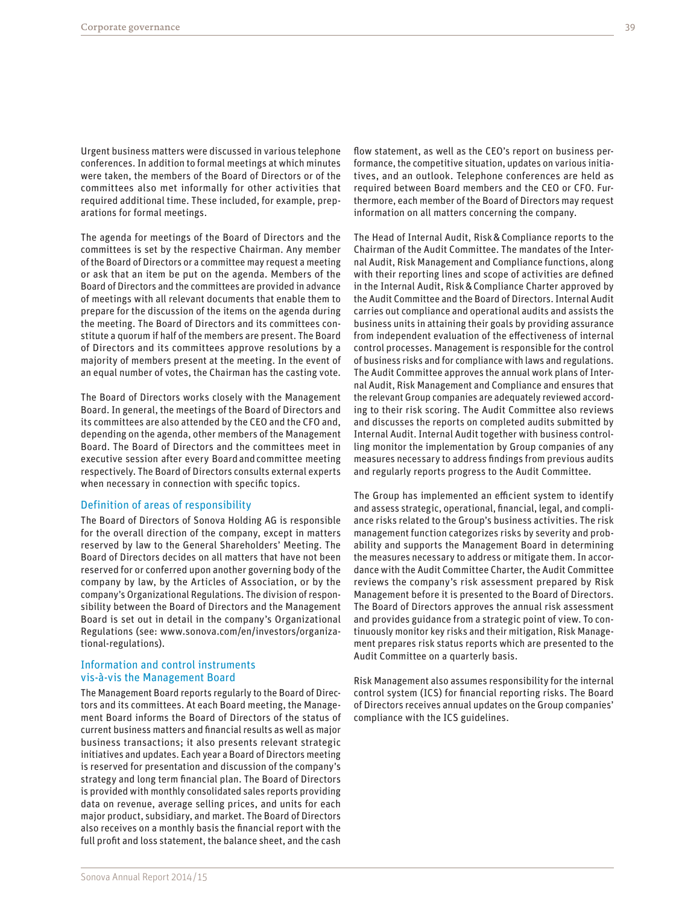Urgent business matters were discussed in various telephone conferences. In addition to formal meetings at which minutes were taken, the members of the Board of Directors or of the committees also met informally for other activities that required additional time. These included, for example, preparations for formal meetings.

The agenda for meetings of the Board of Directors and the committees is set by the respective Chairman. Any member of the Board of Directors or a committee may request a meeting or ask that an item be put on the agenda. Members of the Board of Directors and the committees are provided in advance of meetings with all relevant documents that enable them to prepare for the discussion of the items on the agenda during the meeting. The Board of Directors and its committees constitute a quorum if half of the members are present. The Board of Directors and its committees approve resolutions by a majority of members present at the meeting. In the event of an equal number of votes, the Chairman has the casting vote.

The Board of Directors works closely with the Management Board. In general, the meetings of the Board of Directors and its committees are also attended by the CEO and the CFO and, depending on the agenda, other members of the Management Board. The Board of Directors and the committees meet in executive session after every Board and committee meeting respectively. The Board of Directors consults external experts when necessary in connection with specific topics.

#### Definition of areas of responsibility

The Board of Directors of Sonova Holding AG is responsible for the overall direction of the company, except in matters reserved by law to the General Shareholders' Meeting. The Board of Directors decides on all matters that have not been reserved for or conferred upon another governing body of the company by law, by the Articles of Association, or by the company's Organizational Regulations. The division of responsibility between the Board of Directors and the Management Board is set out in detail in the company's Organizational Regulations (see: [www.sonova.com/en/investors/organiza](http://www.sonova.com/en/investors/organizational-regulations)[tional-regulations\)](http://www.sonova.com/en/investors/organizational-regulations).

#### Information and control instruments vis-à-vis the Management Board

The Management Board reports regularly to the Board of Directors and its committees. At each Board meeting, the Management Board informs the Board of Directors of the status of current business matters and financial results as well as major business transactions; it also presents relevant strategic initiatives and updates. Each year a Board of Directors meeting is reserved for presentation and discussion of the company's strategy and long term financial plan. The Board of Directors is provided with monthly consolidated sales reports providing data on revenue, average selling prices, and units for each major product, subsidiary, and market. The Board of Directors also receives on a monthly basis the financial report with the full profit and loss statement, the balance sheet, and the cash

flow statement, as well as the CEO's report on business performance, the competitive situation, updates on various initiatives, and an outlook. Telephone conferences are held as required between Board members and the CEO or CFO. Furthermore, each member of the Board of Directors may request information on all matters concerning the company.

The Head of Internal Audit, Risk&Compliance reports to the Chairman of the Audit Committee. The mandates of the Internal Audit, Risk Management and Compliance functions, along with their reporting lines and scope of activities are defined in the Internal Audit, Risk&Compliance Charter approved by the Audit Committee and the Board of Directors. Internal Audit carries out compliance and operational audits and assists the business units in attaining their goals by providing assurance from independent evaluation of the effectiveness of internal control processes. Management is responsible for the control of business risks and for compliance with laws and regulations. The Audit Committee approves the annual work plans of Internal Audit, Risk Management and Compliance and ensures that the relevant Group companies are adequately reviewed according to their risk scoring. The Audit Committee also reviews and discusses the reports on completed audits submitted by Internal Audit. Internal Audit together with business controlling monitor the implementation by Group companies of any measures necessary to address findings from previous audits and regularly reports progress to the Audit Committee.

The Group has implemented an efficient system to identify and assess strategic, operational, financial, legal, and compliance risks related to the Group's business activities. The risk management function categorizes risks by severity and probability and supports the Management Board in determining the measures necessary to address or mitigate them. In accordance with the Audit Committee Charter, the Audit Committee reviews the company's risk assessment prepared by Risk Management before it is presented to the Board of Directors. The Board of Directors approves the annual risk assessment and provides guidance from a strategic point of view. To continuously monitor key risks and their mitigation, Risk Management prepares risk status reports which are presented to the Audit Committee on a quarterly basis.

Risk Management also assumes responsibility for the internal control system (ICS) for financial reporting risks. The Board of Directors receives annual updates on the Group companies' compliance with the ICS guidelines.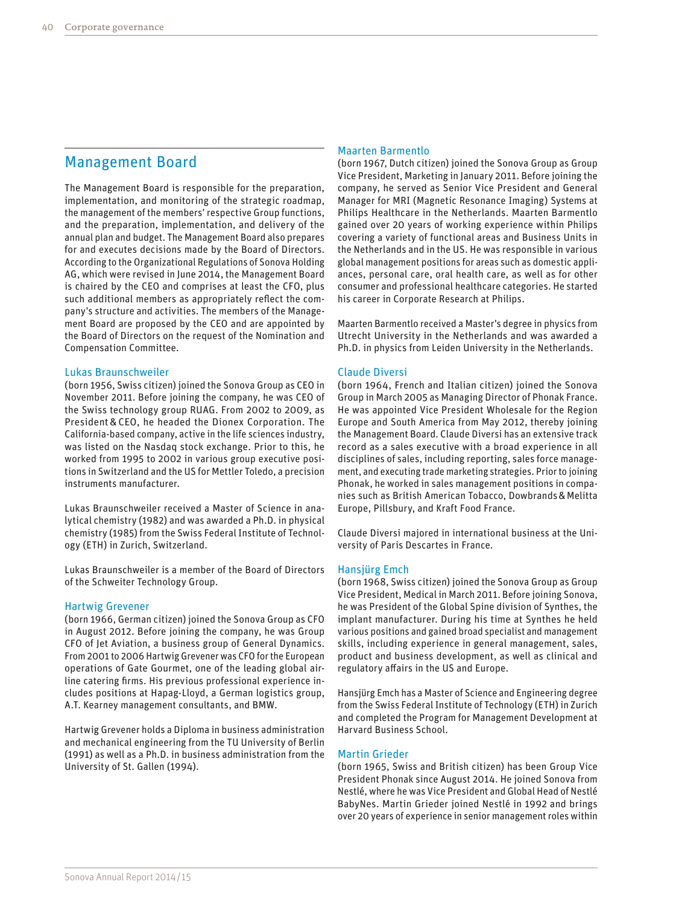# Management Board

The Management Board is responsible for the preparation, implementation, and monitoring of the strategic roadmap, the management of the members' respective Group functions, and the preparation, implementation, and delivery of the annual plan and budget. The Management Board also prepares for and executes decisions made by the Board of Directors. According to the Organizational Regulations of Sonova Holding AG, which were revised in June 2014, the Management Board is chaired by the CEO and comprises at least the CFO, plus such additional members as appropriately reflect the company's structure and activities. The members of the Management Board are proposed by the CEO and are appointed by the Board of Directors on the request of the Nomination and Compensation Committee.

#### Lukas Braunschweiler

(born 1956, Swiss citizen) joined the Sonova Group as CEO in November 2011. Before joining the company, he was CEO of the Swiss technology group RUAG. From 2002 to 2009, as President&CEO, he headed the Dionex Corporation. The California-based company, active in the life sciences industry, was listed on the Nasdaq stock exchange. Prior to this, he worked from 1995 to 2002 in various group executive positions in Switzerland and the US for Mettler Toledo, a precision instruments manufacturer.

Lukas Braunschweiler received a Master of Science in analytical chemistry (1982) and was awarded a Ph.D. in physical chemistry (1985) from the Swiss Federal Institute of Technology (ETH) in Zurich, Switzerland.

Lukas Braunschweiler is a member of the Board of Directors of the Schweiter Technology Group.

#### Hartwig Grevener

(born 1966, German citizen) joined the Sonova Group as CFO in August 2012. Before joining the company, he was Group CFO of Jet Aviation, a business group of General Dynamics. From 2001 to 2006 Hartwig Grevener was CFO for the European operations of Gate Gourmet, one of the leading global airline catering firms. His previous professional experience includes positions at Hapag-Lloyd, a German logistics group, A.T. Kearney management consultants, and BMW.

Hartwig Grevener holds a Diploma in business administration and mechanical engineering from the TU University of Berlin (1991) as well as a Ph.D. in business administration from the University of St. Gallen (1994).

#### Maarten Barmentlo

(born 1967, Dutch citizen) joined the Sonova Group as Group Vice President, Marketing in January 2011. Before joining the company, he served as Senior Vice President and General Manager for MRI (Magnetic Resonance Imaging) Systems at Philips Healthcare in the Netherlands. Maarten Barmentlo gained over 20 years of working experience within Philips covering a variety of functional areas and Business Units in the Netherlands and in the US. He was responsible in various global management positions for areas such as domestic appliances, personal care, oral health care, as well as for other consumer and professional healthcare categories. He started his career in Corporate Research at Philips.

Maarten Barmentlo received a Master's degree in physics from Utrecht University in the Netherlands and was awarded a Ph.D. in physics from Leiden University in the Netherlands.

#### Claude Diversi

(born 1964, French and Italian citizen) joined the Sonova Group in March 2005 as Managing Director of Phonak France. He was appointed Vice President Wholesale for the Region Europe and South America from May 2012, thereby joining the Management Board. Claude Diversi has an extensive track record as a sales executive with a broad experience in all disciplines of sales, including reporting, sales force management, and executing trade marketing strategies. Prior to joining Phonak, he worked in sales management positions in companies such as British American Tobacco, Dowbrands&Melitta Europe, Pillsbury, and Kraft Food France.

Claude Diversi majored in international business at the University of Paris Descartes in France.

#### Hansjürg Emch

(born 1968, Swiss citizen) joined the Sonova Group as Group Vice President, Medical in March 2011. Before joining Sonova, he was President of the Global Spine division of Synthes, the implant manufacturer. During his time at Synthes he held various positions and gained broad specialist and management skills, including experience in general management, sales, product and business development, as well as clinical and regulatory affairs in the US and Europe.

Hansjürg Emch has a Master of Science and Engineering degree from the Swiss Federal Institute of Technology (ETH) in Zurich and completed the Program for Management Development at Harvard Business School.

#### Martin Grieder

(born 1965, Swiss and British citizen) has been Group Vice President Phonak since August 2014. He joined Sonova from Nestlé, where he was Vice President and Global Head of Nestlé BabyNes. Martin Grieder joined Nestlé in 1992 and brings over 20 years of experience in senior management roles within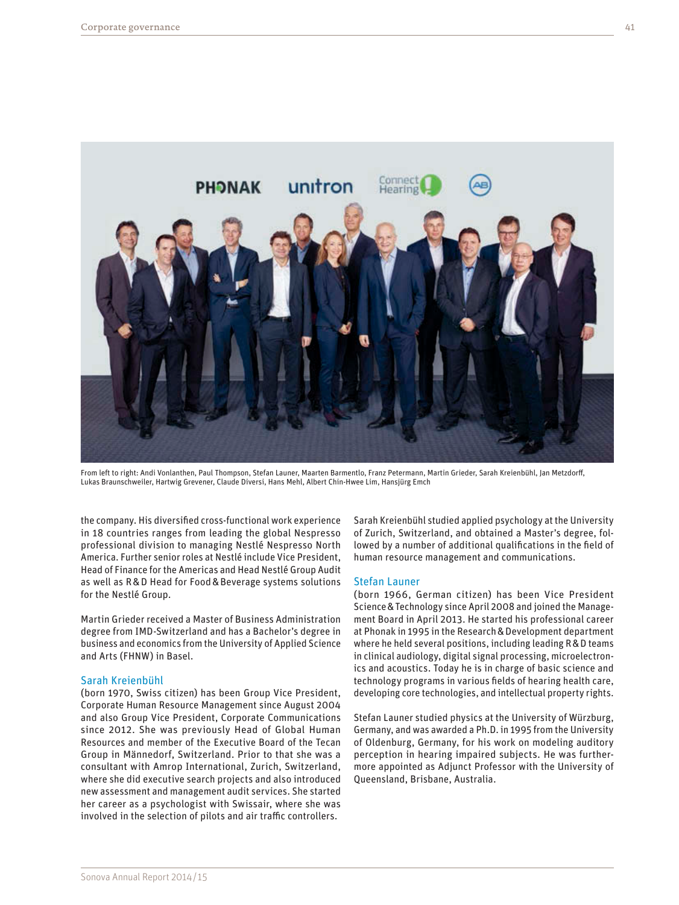

From left to right: Andi Vonlanthen, Paul Thompson, Stefan Launer, Maarten Barmentlo, Franz Petermann, Martin Grieder, Sarah Kreienbühl, Jan Metzdorff, Lukas Braunschweiler, Hartwig Grevener, Claude Diversi, Hans Mehl, Albert Chin-Hwee Lim, Hansjürg Emch

the company. His diversified cross-functional work experience in 18 countries ranges from leading the global Nespresso professional division to managing Nestlé Nespresso North America. Further senior roles at Nestlé include Vice President, Head of Finance for the Americas and Head Nestlé Group Audit as well as R&D Head for Food&Beverage systems solutions for the Nestlé Group.

Martin Grieder received a Master of Business Administration degree from IMD-Switzerland and has a Bachelor's degree in business and economics from the University of Applied Science and Arts (FHNW) in Basel.

#### Sarah Kreienbühl

(born 1970, Swiss citizen) has been Group Vice President, Corporate Human Resource Management since August 2004 and also Group Vice President, Corporate Communications since 2012. She was previously Head of Global Human Resources and member of the Executive Board of the Tecan Group in Männedorf, Switzerland. Prior to that she was a consultant with Amrop International, Zurich, Switzerland, where she did executive search projects and also introduced new assessment and management audit services. She started her career as a psychologist with Swissair, where she was involved in the selection of pilots and air traffic controllers.

Sarah Kreienbühl studied applied psychology at the University of Zurich, Switzerland, and obtained a Master's degree, followed by a number of additional qualifications in the field of human resource management and communications.

#### Stefan Launer

(born 1966, German citizen) has been Vice President Science&Technology since April 2008 and joined the Management Board in April 2013. He started his professional career at Phonak in 1995 in the Research&Development department where he held several positions, including leading R&D teams in clinical audiology, digital signal processing, microelectronics and acoustics. Today he is in charge of basic science and technology programs in various fields of hearing health care, developing core technologies, and intellectual property rights.

Stefan Launer studied physics at the University of Würzburg, Germany, and was awarded a Ph.D. in 1995 from the University of Oldenburg, Germany, for his work on modeling auditory perception in hearing impaired subjects. He was furthermore appointed as Adjunct Professor with the University of Queensland, Brisbane, Australia.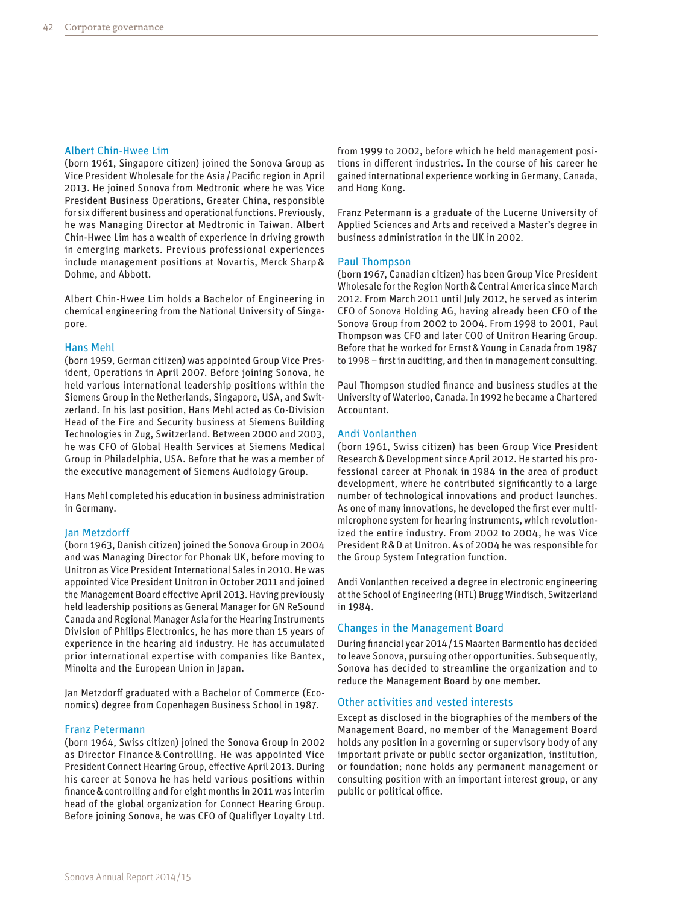#### Albert Chin-Hwee Lim

(born 1961, Singapore citizen) joined the Sonova Group as Vice President Wholesale for the Asia/Pacific region in April 2013. He joined Sonova from Medtronic where he was Vice President Business Operations, Greater China, responsible for six different business and operational functions. Previously, he was Managing Director at Medtronic in Taiwan. Albert Chin-Hwee Lim has a wealth of experience in driving growth in emerging markets. Previous professional experiences include management positions at Novartis, Merck Sharp& Dohme, and Abbott.

Albert Chin-Hwee Lim holds a Bachelor of Engineering in chemical engineering from the National University of Singapore.

#### Hans Mehl

(born 1959, German citizen) was appointed Group Vice President, Operations in April 2007. Before joining Sonova, he held various international leadership positions within the Siemens Group in the Netherlands, Singapore, USA, and Switzerland. In his last position, Hans Mehl acted as Co-Division Head of the Fire and Security business at Siemens Building Technologies in Zug, Switzerland. Between 2000 and 2003, he was CFO of Global Health Services at Siemens Medical Group in Philadelphia, USA. Before that he was a member of the executive management of Siemens Audiology Group.

Hans Mehl completed his education in business administration in Germany.

#### Jan Metzdorff

(born 1963, Danish citizen) joined the Sonova Group in 2004 and was Managing Director for Phonak UK, before moving to Unitron as Vice President International Sales in 2010. He was appointed Vice President Unitron in October 2011 and joined the Management Board effective April 2013. Having previously held leadership positions as General Manager for GN ReSound Canada and Regional Manager Asia for the Hearing Instruments Division of Philips Electronics, he has more than 15 years of experience in the hearing aid industry. He has accumulated prior international expertise with companies like Bantex, Minolta and the European Union in Japan.

Jan Metzdorff graduated with a Bachelor of Commerce (Economics) degree from Copenhagen Business School in 1987.

#### Franz Petermann

(born 1964, Swiss citizen) joined the Sonova Group in 2002 as Director Finance&Controlling. He was appointed Vice President Connect Hearing Group, effective April 2013. During his career at Sonova he has held various positions within finance&controlling and for eight months in 2011 was interim head of the global organization for Connect Hearing Group. Before joining Sonova, he was CFO of Qualiflyer Loyalty Ltd. from 1999 to 2002, before which he held management positions in different industries. In the course of his career he gained international experience working in Germany, Canada, and Hong Kong.

Franz Petermann is a graduate of the Lucerne University of Applied Sciences and Arts and received a Master's degree in business administration in the UK in 2002.

#### Paul Thompson

(born 1967, Canadian citizen) has been Group Vice President Wholesale for the Region North&Central America since March 2012. From March 2011 until July 2012, he served as interim CFO of Sonova Holding AG, having already been CFO of the Sonova Group from 2002 to 2004. From 1998 to 2001, Paul Thompson was CFO and later COO of Unitron Hearing Group. Before that he worked for Ernst&Young in Canada from 1987 to 1998 – first in auditing, and then in management consulting.

Paul Thompson studied finance and business studies at the University of Waterloo, Canada. In 1992 he became a Chartered Accountant.

#### Andi Vonlanthen

(born 1961, Swiss citizen) has been Group Vice President Research&Development since April 2012. He started his professional career at Phonak in 1984 in the area of product development, where he contributed significantly to a large number of technological innovations and product launches. As one of many innovations, he developed the first ever multimicrophone system for hearing instruments, which revolutionized the entire industry. From 2002 to 2004, he was Vice President R&D at Unitron. As of 2004 he was responsible for the Group System Integration function.

Andi Vonlanthen received a degree in electronic engineering at the School of Engineering (HTL) Brugg Windisch, Switzerland in 1984.

#### Changes in the Management Board

During financial year 2014/15 Maarten Barmentlo has decided to leave Sonova, pursuing other opportunities. Subsequently, Sonova has decided to streamline the organization and to reduce the Management Board by one member.

#### Other activities and vested interests

Except as disclosed in the biographies of the members of the Management Board, no member of the Management Board holds any position in a governing or supervisory body of any important private or public sector organization, institution, or foundation; none holds any permanent management or consulting position with an important interest group, or any public or political office.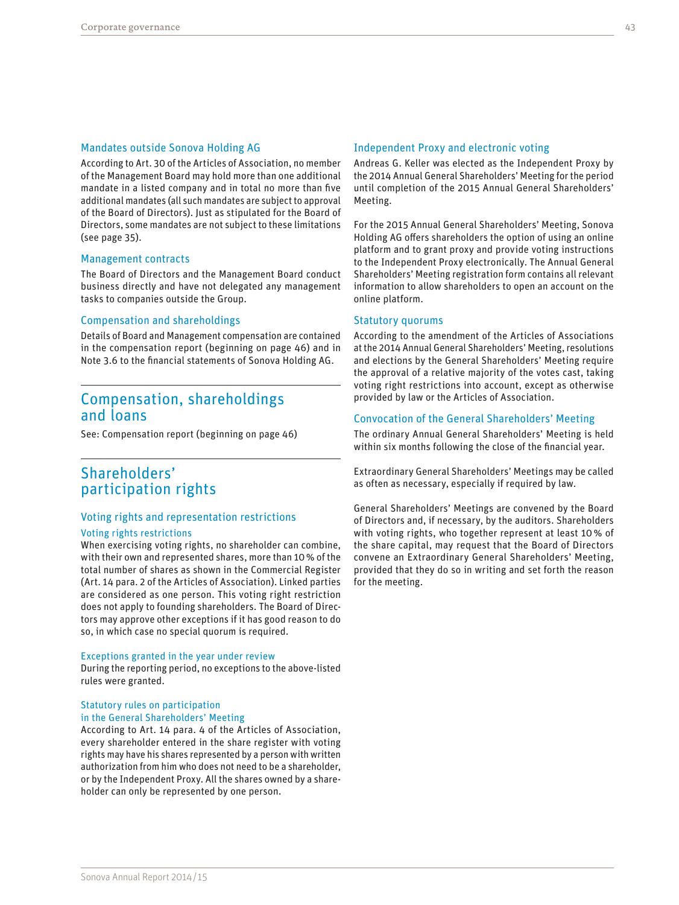#### Mandates outside Sonova Holding AG

According to Art. 30 of the Articles of Association, no member of the Management Board may hold more than one additional mandate in a listed company and in total no more than five additional mandates (all such mandates are subject to approval of the Board of Directors). Just as stipulated for the Board of Directors, some mandates are not subject to these limitations (see page 35).

#### Management contracts

The Board of Directors and the Management Board conduct business directly and have not delegated any management tasks to companies outside the Group.

#### Compensation and shareholdings

Details of Board and Management compensation are contained in the compensation report (beginning on page 46) and in Note 3.6 to the financial statements of Sonova Holding AG.

# Compensation, shareholdings and loans

See: Compensation report (beginning on page 46)

# Shareholders' participation rights

### Voting rights and representation restrictions

#### Voting rights restrictions

When exercising voting rights, no shareholder can combine, with their own and represented shares, more than 10% of the total number of shares as shown in the Commercial Register (Art. 14 para. 2 of the Articles of Association). Linked parties are considered as one person. This voting right restriction does not apply to founding shareholders. The Board of Directors may approve other exceptions if it has good reason to do so, in which case no special quorum is required.

#### Exceptions granted in the year under review

During the reporting period, no exceptions to the above-listed rules were granted.

#### Statutory rules on participation in the General Shareholders' Meeting

According to Art. 14 para. 4 of the Articles of Association, every shareholder entered in the share register with voting rights may have his shares represented by a person with written authorization from him who does not need to be a shareholder, or by the Independent Proxy. All the shares owned by a shareholder can only be represented by one person.

#### Independent Proxy and electronic voting

Andreas G. Keller was elected as the Independent Proxy by the 2014 Annual General Shareholders' Meeting for the period until completion of the 2015 Annual General Shareholders' Meeting.

For the 2015 Annual General Shareholders' Meeting, Sonova Holding AG offers shareholders the option of using an online platform and to grant proxy and provide voting instructions to the Independent Proxy electronically. The Annual General Shareholders' Meeting registration form contains all relevant information to allow shareholders to open an account on the online platform.

#### Statutory quorums

According to the amendment of the Articles of Associations at the 2014 Annual General Shareholders' Meeting, resolutions and elections by the General Shareholders' Meeting require the approval of a relative majority of the votes cast, taking voting right restrictions into account, except as otherwise provided by law or the Articles of Association.

#### Convocation of the General Shareholders' Meeting

The ordinary Annual General Shareholders' Meeting is held within six months following the close of the financial year.

Extraordinary General Shareholders' Meetings may be called as often as necessary, especially if required by law.

General Shareholders' Meetings are convened by the Board of Directors and, if necessary, by the auditors. Shareholders with voting rights, who together represent at least 10% of the share capital, may request that the Board of Directors convene an Extraordinary General Shareholders' Meeting, provided that they do so in writing and set forth the reason for the meeting.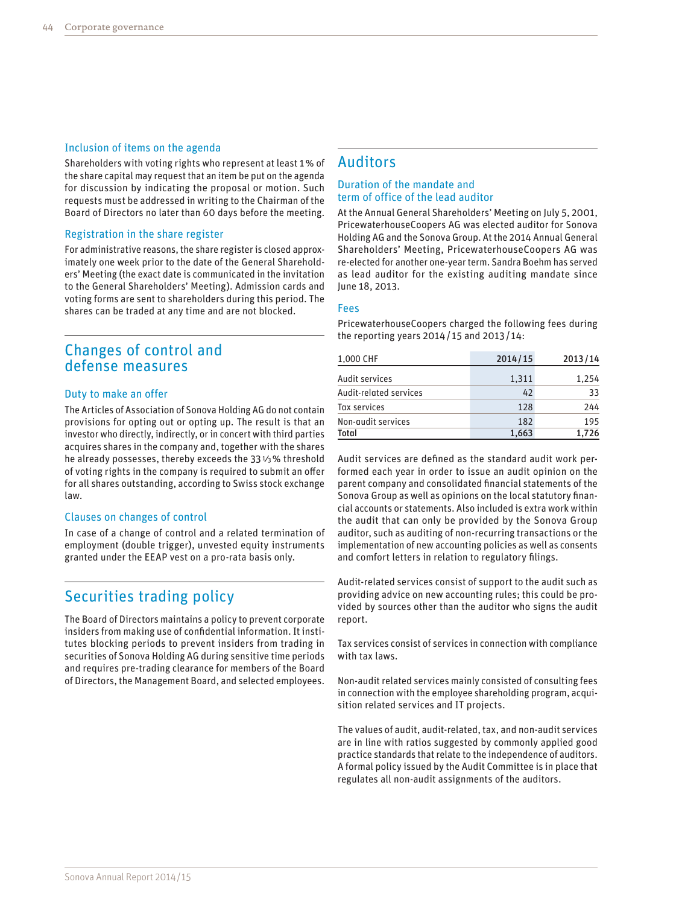#### Inclusion of items on the agenda

Shareholders with voting rights who represent at least 1% of the share capital may request that an item be put on the agenda for discussion by indicating the proposal or motion. Such requests must be addressed in writing to the Chairman of the Board of Directors no later than 60 days before the meeting.

#### Registration in the share register

For administrative reasons, the share register is closed approximately one week prior to the date of the General Shareholders' Meeting (the exact date is communicated in the invitation to the General Shareholders' Meeting). Admission cards and voting forms are sent to shareholders during this period. The shares can be traded at any time and are not blocked.

# Changes of control and defense measures

#### Duty to make an offer

The Articles of Association of Sonova Holding AG do not contain provisions for opting out or opting up. The result is that an investor who directly, indirectly, or in concert with third parties acquires shares in the company and, together with the shares he already possesses, thereby exceeds the 331⁄3% threshold of voting rights in the company is required to submit an offer for all shares outstanding, according to Swiss stock exchange law.

#### Clauses on changes of control

In case of a change of control and a related termination of employment (double trigger), unvested equity instruments granted under the EEAP vest on a pro-rata basis only.

# Securities trading policy

The Board of Directors maintains a policy to prevent corporate insiders from making use of confidential information. It institutes blocking periods to prevent insiders from trading in securities of Sonova Holding AG during sensitive time periods and requires pre-trading clearance for members of the Board of Directors, the Management Board, and selected employees.

## Auditors

#### Duration of the mandate and term of office of the lead auditor

At the Annual General Shareholders' Meeting on July 5, 2001, PricewaterhouseCoopers AG was elected auditor for Sonova Holding AG and the Sonova Group. At the 2014 Annual General Shareholders' Meeting, PricewaterhouseCoopers AG was re-elected for another one-year term. Sandra Boehm has served as lead auditor for the existing auditing mandate since June 18, 2013.

#### Fees

PricewaterhouseCoopers charged the following fees during the reporting years 2014/ 15 and 2013/ 14:

| 1,000 CHF              | 2014/15 | 2013/14 |
|------------------------|---------|---------|
| Audit services         | 1,311   | 1,254   |
| Audit-related services | 42      | 33      |
| Tax services           | 128     | 244     |
| Non-audit services     | 182     | 195     |
| <b>Total</b>           | 1,663   | 1,726   |

Audit services are defined as the standard audit work performed each year in order to issue an audit opinion on the parent company and consolidated financial statements of the Sonova Group as well as opinions on the local statutory financial accounts or statements. Also included is extra work within the audit that can only be provided by the Sonova Group auditor, such as auditing of non-recurring transactions or the implementation of new accounting policies as well as consents and comfort letters in relation to regulatory filings.

Audit-related services consist of support to the audit such as providing advice on new accounting rules; this could be provided by sources other than the auditor who signs the audit report.

Tax services consist of services in connection with compliance with tax laws.

Non-audit related services mainly consisted of consulting fees in connection with the employee shareholding program, acquisition related services and IT projects.

The values of audit, audit-related, tax, and non-audit services are in line with ratios suggested by commonly applied good practice standards that relate to the independence of auditors. A formal policy issued by the Audit Committee is in place that regulates all non-audit assignments of the auditors.